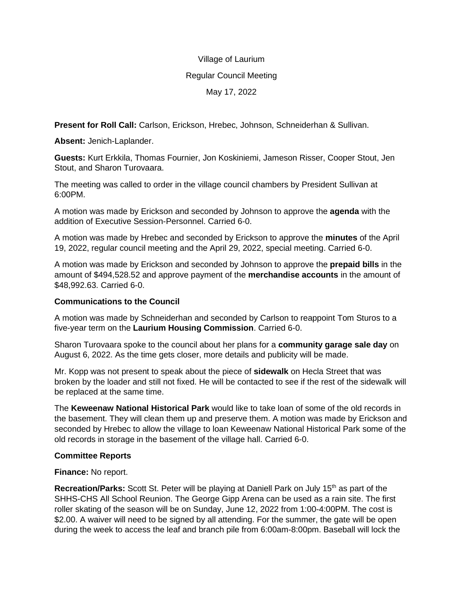### Village of Laurium

#### Regular Council Meeting

### May 17, 2022

**Present for Roll Call:** Carlson, Erickson, Hrebec, Johnson, Schneiderhan & Sullivan.

**Absent:** Jenich-Laplander.

**Guests:** Kurt Erkkila, Thomas Fournier, Jon Koskiniemi, Jameson Risser, Cooper Stout, Jen Stout, and Sharon Turovaara.

The meeting was called to order in the village council chambers by President Sullivan at 6:00PM.

A motion was made by Erickson and seconded by Johnson to approve the **agenda** with the addition of Executive Session-Personnel. Carried 6-0.

A motion was made by Hrebec and seconded by Erickson to approve the **minutes** of the April 19, 2022, regular council meeting and the April 29, 2022, special meeting. Carried 6-0.

A motion was made by Erickson and seconded by Johnson to approve the **prepaid bills** in the amount of \$494,528.52 and approve payment of the **merchandise accounts** in the amount of \$48,992.63. Carried 6-0.

# **Communications to the Council**

A motion was made by Schneiderhan and seconded by Carlson to reappoint Tom Sturos to a five-year term on the **Laurium Housing Commission**. Carried 6-0.

Sharon Turovaara spoke to the council about her plans for a **community garage sale day** on August 6, 2022. As the time gets closer, more details and publicity will be made.

Mr. Kopp was not present to speak about the piece of **sidewalk** on Hecla Street that was broken by the loader and still not fixed. He will be contacted to see if the rest of the sidewalk will be replaced at the same time.

The **Keweenaw National Historical Park** would like to take loan of some of the old records in the basement. They will clean them up and preserve them. A motion was made by Erickson and seconded by Hrebec to allow the village to loan Keweenaw National Historical Park some of the old records in storage in the basement of the village hall. Carried 6-0.

# **Committee Reports**

**Finance:** No report.

**Recreation/Parks:** Scott St. Peter will be playing at Daniell Park on July 15<sup>th</sup> as part of the SHHS-CHS All School Reunion. The George Gipp Arena can be used as a rain site. The first roller skating of the season will be on Sunday, June 12, 2022 from 1:00-4:00PM. The cost is \$2.00. A waiver will need to be signed by all attending. For the summer, the gate will be open during the week to access the leaf and branch pile from 6:00am-8:00pm. Baseball will lock the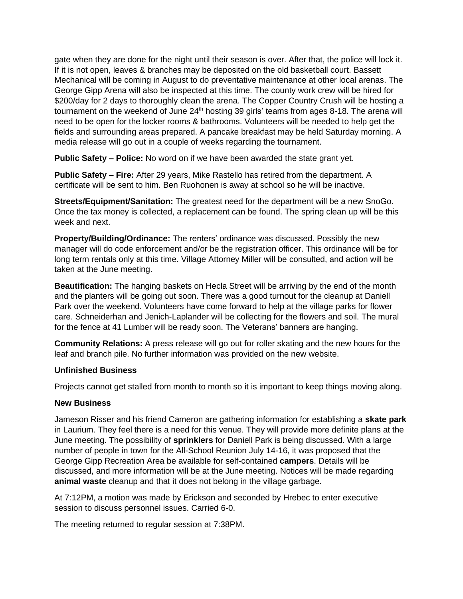gate when they are done for the night until their season is over. After that, the police will lock it. If it is not open, leaves & branches may be deposited on the old basketball court. Bassett Mechanical will be coming in August to do preventative maintenance at other local arenas. The George Gipp Arena will also be inspected at this time. The county work crew will be hired for \$200/day for 2 days to thoroughly clean the arena. The Copper Country Crush will be hosting a tournament on the weekend of June  $24<sup>th</sup>$  hosting 39 girls' teams from ages 8-18. The arena will need to be open for the locker rooms & bathrooms. Volunteers will be needed to help get the fields and surrounding areas prepared. A pancake breakfast may be held Saturday morning. A media release will go out in a couple of weeks regarding the tournament.

**Public Safety – Police:** No word on if we have been awarded the state grant yet.

**Public Safety – Fire:** After 29 years, Mike Rastello has retired from the department. A certificate will be sent to him. Ben Ruohonen is away at school so he will be inactive.

**Streets/Equipment/Sanitation:** The greatest need for the department will be a new SnoGo. Once the tax money is collected, a replacement can be found. The spring clean up will be this week and next.

**Property/Building/Ordinance:** The renters' ordinance was discussed. Possibly the new manager will do code enforcement and/or be the registration officer. This ordinance will be for long term rentals only at this time. Village Attorney Miller will be consulted, and action will be taken at the June meeting.

**Beautification:** The hanging baskets on Hecla Street will be arriving by the end of the month and the planters will be going out soon. There was a good turnout for the cleanup at Daniell Park over the weekend. Volunteers have come forward to help at the village parks for flower care. Schneiderhan and Jenich-Laplander will be collecting for the flowers and soil. The mural for the fence at 41 Lumber will be ready soon. The Veterans' banners are hanging.

**Community Relations:** A press release will go out for roller skating and the new hours for the leaf and branch pile. No further information was provided on the new website.

# **Unfinished Business**

Projects cannot get stalled from month to month so it is important to keep things moving along.

#### **New Business**

Jameson Risser and his friend Cameron are gathering information for establishing a **skate park** in Laurium. They feel there is a need for this venue. They will provide more definite plans at the June meeting. The possibility of **sprinklers** for Daniell Park is being discussed. With a large number of people in town for the All-School Reunion July 14-16, it was proposed that the George Gipp Recreation Area be available for self-contained **campers**. Details will be discussed, and more information will be at the June meeting. Notices will be made regarding **animal waste** cleanup and that it does not belong in the village garbage.

At 7:12PM, a motion was made by Erickson and seconded by Hrebec to enter executive session to discuss personnel issues. Carried 6-0.

The meeting returned to regular session at 7:38PM.